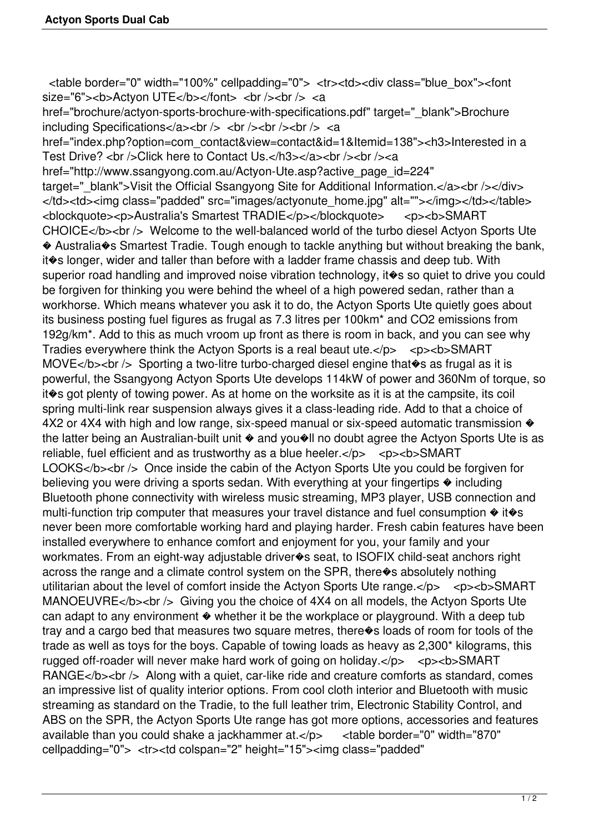<table border="0" width="100%" cellpadding="0"> <tr><td><div class="blue\_box"><font size="6"><br/>>b>Actyon UTE</b>></font> <br/> <br/>bodinal </br/>a

href="brochure/actyon-sports-brochure-with-specifications.pdf" target=" blank">Brochure including Specifications</a>>>>>>>br /> <br />>br />>br /> <br />><a>

href="index.php?option=com\_contact&view=contact&id=1&Itemid=138"><h3>Interested in a Test Drive? <br />>>>>>Click here to Contact Us.</h3></a></br />>/a></br />></a></a><//> href="http://www.ssangyong.com.au/Actyon-Ute.asp?active\_page\_id=224" target=" blank">Visit the Official Ssangyong Site for Additional Information.</a>></br />>/</div> </td><td><img class="padded" src="images/actyonute\_home.jpg" alt=""></img></td></table> <blockquote><p>Australia's Smartest TRADIE</p></blockquote> <p><b>SMART CHOICE</b> < br /> Welcome to the well-balanced world of the turbo diesel Actyon Sports Ute � Australia�s Smartest Tradie. Tough enough to tackle anything but without breaking the bank, it�s longer, wider and taller than before with a ladder frame chassis and deep tub. With superior road handling and improved noise vibration technology, it  $\circ$ s so quiet to drive you could be forgiven for thinking you were behind the wheel of a high powered sedan, rather than a workhorse. Which means whatever you ask it to do, the Actyon Sports Ute quietly goes about its business posting fuel figures as frugal as 7.3 litres per 100km\* and CO2 emissions from 192g/km\*. Add to this as much vroom up front as there is room in back, and you can see why Tradies everywhere think the Actyon Sports is a real beaut ute.</p> <p><b>>SMART MOVE</b> > > Sporting a two-litre turbo-charged diesel engine that  $\bullet$ s as frugal as it is powerful, the Ssangyong Actyon Sports Ute develops 114kW of power and 360Nm of torque, so it�s got plenty of towing power. As at home on the worksite as it is at the campsite, its coil spring multi-link rear suspension always gives it a class-leading ride. Add to that a choice of  $4X2$  or  $4X4$  with high and low range, six-speed manual or six-speed automatic transmission  $\diamondsuit$ the latter being an Australian-built unit  $\bullet$  and you $\bullet$ Il no doubt agree the Actyon Sports Ute is as reliable, fuel efficient and as trustworthy as a blue heeler.</p> <p><b>>SMART LOOKS</b> < br /> Once inside the cabin of the Actyon Sports Ute you could be forgiven for believing you were driving a sports sedan. With everything at your fingertips  $\triangle$  including Bluetooth phone connectivity with wireless music streaming, MP3 player, USB connection and multi-function trip computer that measures your travel distance and fuel consumption  $\diamond$  it $\diamond$ s never been more comfortable working hard and playing harder. Fresh cabin features have been installed everywhere to enhance comfort and enjoyment for you, your family and your workmates. From an eight-way adjustable driver�s seat, to ISOFIX child-seat anchors right across the range and a climate control system on the SPR, there�s absolutely nothing utilitarian about the level of comfort inside the Actyon Sports Ute range.</p> <p><b>>SMART MANOEUVRE</b>  $\lt$  br /> Giving you the choice of 4X4 on all models, the Actyon Sports Ute can adapt to any environment  $\bullet$  whether it be the workplace or playground. With a deep tub tray and a cargo bed that measures two square metres, there�s loads of room for tools of the trade as well as toys for the boys. Capable of towing loads as heavy as 2,300\* kilograms, this rugged off-roader will never make hard work of going on holiday.</p> <p><b>>SMART RANGE</b> >  $\epsilon$  /b > Along with a quiet, car-like ride and creature comforts as standard, comes an impressive list of quality interior options. From cool cloth interior and Bluetooth with music streaming as standard on the Tradie, to the full leather trim, Electronic Stability Control, and ABS on the SPR, the Actyon Sports Ute range has got more options, accessories and features available than you could shake a jackhammer at.</p> <table border="0" width="870" cellpadding="0"> <tr><td colspan="2" height="15"><img class="padded"